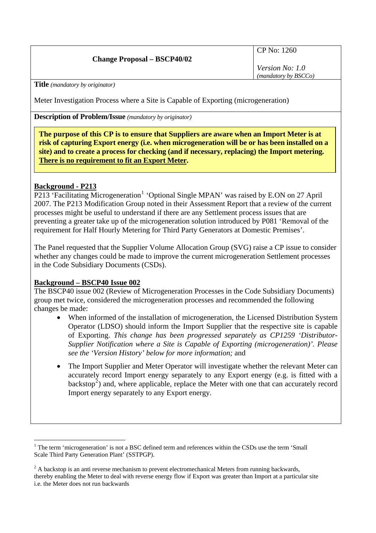# **Change Proposal – BSCP40/02**

CP No: 1260

*Version No: 1.0 (mandatory by BSCCo)*

**Title** *(mandatory by originator)* 

Meter Investigation Process where a Site is Capable of Exporting (microgeneration)

**Description of Problem/Issue** *(mandatory by originator)* 

**The purpose of this CP is to ensure that Suppliers are aware when an Import Meter is at risk of capturing Export energy (i.e. when microgeneration will be or has been installed on a site) and to create a process for checking (and if necessary, replacing) the Import metering. There is no requirement to fit an Export Meter.**

# **Background - P213**

P2[1](#page-0-0)3 'Facilitating Microgeneration<sup>1</sup> 'Optional Single MPAN' was raised by E.ON on 27 April 2007. The P213 Modification Group noted in their Assessment Report that a review of the current processes might be useful to understand if there are any Settlement process issues that are preventing a greater take up of the microgeneration solution introduced by P081 'Removal of the requirement for Half Hourly Metering for Third Party Generators at Domestic Premises'.

The Panel requested that the Supplier Volume Allocation Group (SVG) raise a CP issue to consider whether any changes could be made to improve the current microgeneration Settlement processes in the Code Subsidiary Documents (CSDs).

### **Background – BSCP40 Issue 002**

The BSCP40 issue 002 (Review of Microgeneration Processes in the Code Subsidiary Documents) group met twice, considered the microgeneration processes and recommended the following changes be made:

- When informed of the installation of microgeneration, the Licensed Distribution System Operator (LDSO) should inform the Import Supplier that the respective site is capable of Exporting. *This change has been progressed separately as CP1259 'Distributor-Supplier Notification where a Site is Capable of Exporting (microgeneration)'. Please see the 'Version History' below for more information;* and
- The Import Supplier and Meter Operator will investigate whether the relevant Meter can accurately record Import energy separately to any Export energy (e.g. is fitted with a backstop<sup>[2](#page-0-1)</sup>) and, where applicable, replace the Meter with one that can accurately record Import energy separately to any Export energy*.*

<span id="page-0-0"></span> $\overline{a}$ <sup>1</sup> The term 'microgeneration' is not a BSC defined term and references within the CSDs use the term 'Small Scale Third Party Generation Plant' (SSTPGP).

<span id="page-0-1"></span> $2^2$  A backstop is an anti reverse mechanism to prevent electromechanical Meters from running backwards, thereby enabling the Meter to deal with reverse energy flow if Export was greater than Import at a particular site i.e. the Meter does not run backwards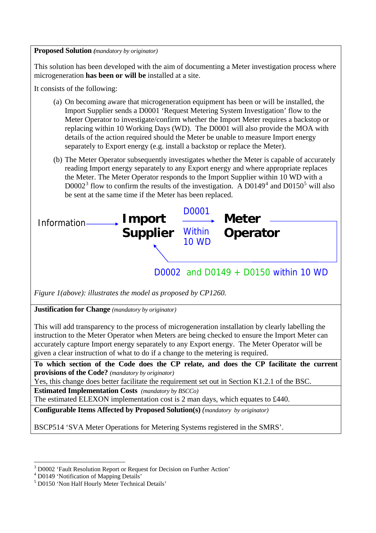#### **Proposed Solution** *(mandatory by originator)*

This solution has been developed with the aim of documenting a Meter investigation process where microgeneration **has been or will be** installed at a site.

It consists of the following:

- (a) On becoming aware that microgeneration equipment has been or will be installed, the Import Supplier sends a D0001 'Request Metering System Investigation' flow to the Meter Operator to investigate/confirm whether the Import Meter requires a backstop or replacing within 10 Working Days (WD). The D0001 will also provide the MOA with details of the action required should the Meter be unable to measure Import energy separately to Export energy (e.g. install a backstop or replace the Meter).
- (b) The Meter Operator subsequently investigates whether the Meter is capable of accurately reading Import energy separately to any Export energy and where appropriate replaces the Meter. The Meter Operator responds to the Import Supplier within 10 WD with a  $D0002<sup>3</sup>$  $D0002<sup>3</sup>$  $D0002<sup>3</sup>$  flow to confirm the results of the investigation. A  $D0149<sup>4</sup>$  $D0149<sup>4</sup>$  $D0149<sup>4</sup>$  and  $D0150<sup>5</sup>$  $D0150<sup>5</sup>$  $D0150<sup>5</sup>$  will also be sent at the same time if the Meter has been replaced.



*Figure 1(above): illustrates the model as proposed by CP1260.*

**Justification for Change** *(mandatory by originator)* 

This will add transparency to the process of microgeneration installation by clearly labelling the instruction to the Meter Operator when Meters are being checked to ensure the Import Meter can accurately capture Import energy separately to any Export energy. The Meter Operator will be given a clear instruction of what to do if a change to the metering is required.

**To which section of the Code does the CP relate, and does the CP facilitate the current provisions of the Code?** *(mandatory by originator)* 

Yes, this change does better facilitate the requirement set out in Section K1.2.1 of the BSC.

**Estimated Implementation Costs** *(mandatory by BSCCo)* 

The estimated ELEXON implementation cost is 2 man days, which equates to £440.

**Configurable Items Affected by Proposed Solution(s)** *(mandatory by originator)* 

BSCP514 'SVA Meter Operations for Metering Systems registered in the SMRS'.

 $\overline{a}$ 

<span id="page-1-0"></span><sup>3</sup> D0002 'Fault Resolution Report or Request for Decision on Further Action'

<span id="page-1-1"></span><sup>4</sup> D0149 'Notification of Mapping Details'

<span id="page-1-2"></span><sup>5</sup> D0150 'Non Half Hourly Meter Technical Details'